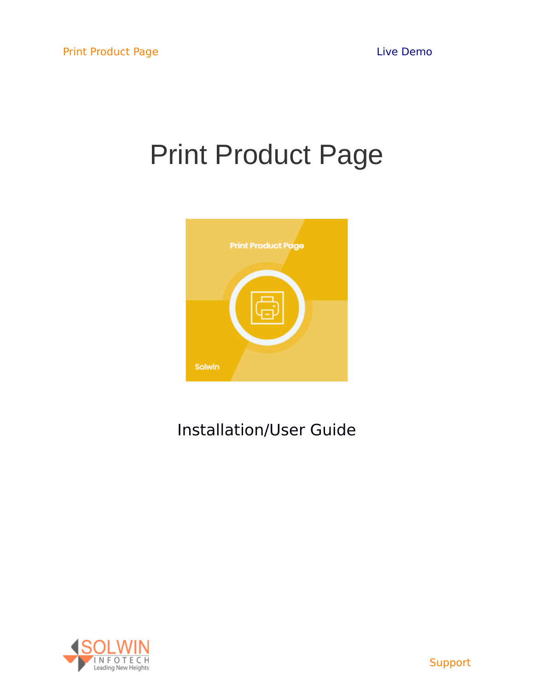# Print Product Page



## Installation/User Guide

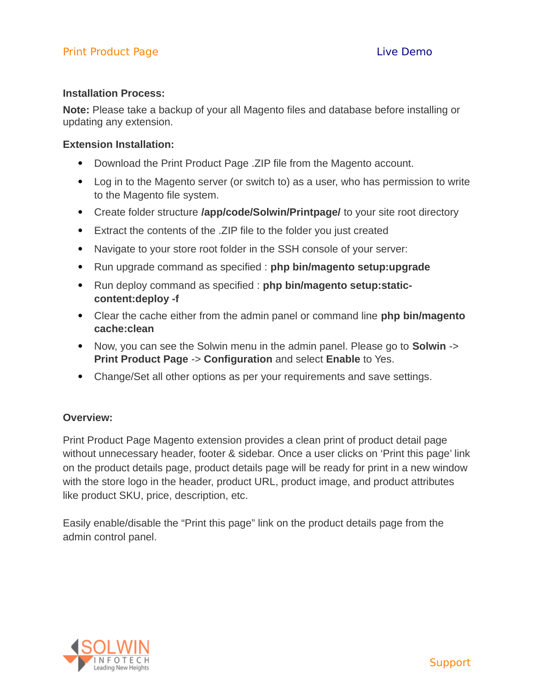#### **Installation Process:**

**Note:** Please take a backup of your all Magento files and database before installing or updating any extension.

#### **Extension Installation:**

- Download the Print Product Page . ZIP file from the Magento account.
- Log in to the Magento server (or switch to) as a user, who has permission to write to the Magento file system.
- Create folder structure **/app/code/Solwin/Printpage/** to your site root directory
- Extract the contents of the .ZIP file to the folder you just created
- Navigate to your store root folder in the SSH console of your server:
- Run upgrade command as specified : **php bin/magento setup:upgrade**
- Run deploy command as specified : **php bin/magento setup:staticcontent:deploy -f**
- Clear the cache either from the admin panel or command line **php bin/magento cache:clean**
- Now, you can see the Solwin menu in the admin panel. Please go to **Solwin** -> **Print Product Page** -> **Configuration** and select **Enable** to Yes.
- Change/Set all other options as per your requirements and save settings.

#### **Overview:**

Print Product Page Magento extension provides a clean print of product detail page without unnecessary header, footer & sidebar. Once a user clicks on 'Print this page' link on the product details page, product details page will be ready for print in a new window with the store logo in the header, product URL, product image, and product attributes like product SKU, price, description, etc.

Easily enable/disable the "Print this page" link on the product details page from the admin control panel.

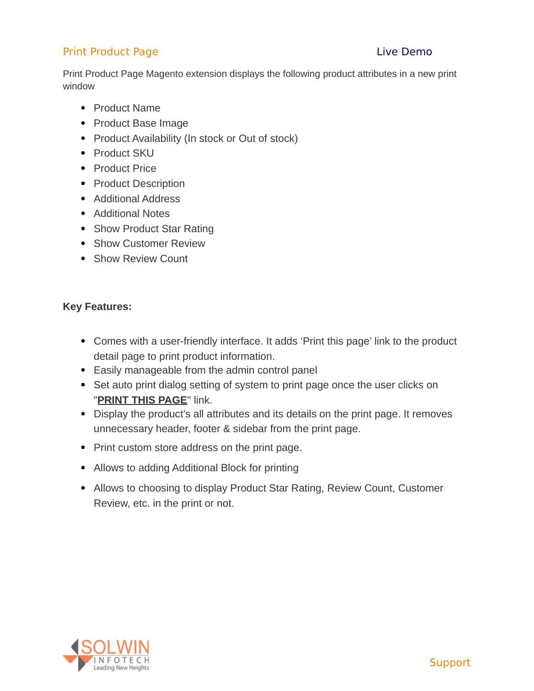Print Product Page Magento extension displays the following product attributes in a new print window

- Product Name
- Product Base Image
- Product Availability (In stock or Out of stock)
- Product SKU
- Product Price
- Product Description
- Additional Address
- Additional Notes
- Show Product Star Rating
- Show Customer Review
- Show Review Count

#### **Key Features:**

- Comes with a user-friendly interface. It adds 'Print this page' link to the product detail page to print product information.
- Easily manageable from the admin control panel
- Set auto print dialog setting of system to print page once the user clicks on "**[PRINT THIS PAGE](https://www.solwininfotech.com/documents/magento2/print-product-page/#print_page_popup)**" link.
- Display the product's all attributes and its details on the print page. It removes unnecessary header, footer & sidebar from the print page.
- Print custom store address on the print page.
- Allows to adding Additional Block for printing
- Allows to choosing to display Product Star Rating, Review Count, Customer Review, etc. in the print or not.

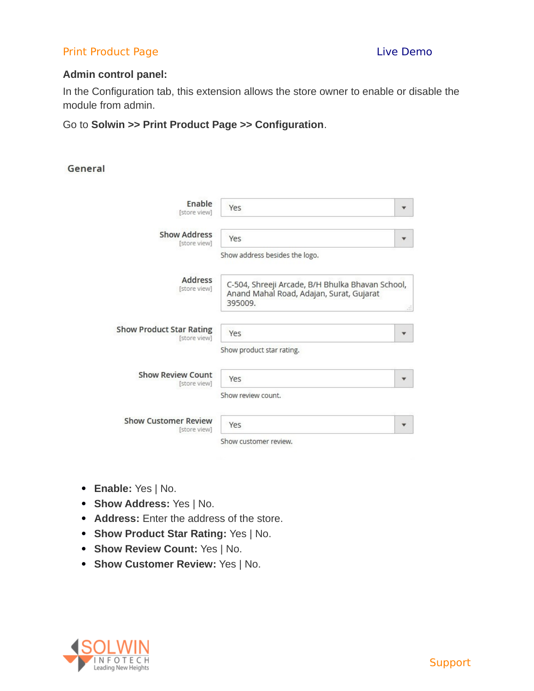#### **Admin control panel:**

In the Configuration tab, this extension allows the store owner to enable or disable the module from admin.

#### Go to **Solwin >> Print Product Page >> Configuration**.

#### General

| Enable<br>[store view]                          | Yes                                                                                                     |    |
|-------------------------------------------------|---------------------------------------------------------------------------------------------------------|----|
| <b>Show Address</b><br>[store view]             | Yes                                                                                                     |    |
|                                                 | Show address besides the logo.                                                                          |    |
| Address<br>[store view]                         | C-504, Shreeji Arcade, B/H Bhulka Bhavan School,<br>Anand Mahal Road, Adajan, Surat, Gujarat<br>395009. | иî |
| <b>Show Product Star Rating</b><br>[store view] | Yes<br>Show product star rating.                                                                        |    |
| <b>Show Review Count</b><br>[store view]        | Yes<br>Show review count.                                                                               |    |
| <b>Show Customer Review</b><br>[store view]     | Yes<br>Show customer review.                                                                            |    |

- **Enable:** Yes | No.
- **Show Address:** Yes | No.
- **Address:** Enter the address of the store.
- **Show Product Star Rating:** Yes | No.
- **Show Review Count:** Yes | No.
- **Show Customer Review:** Yes | No.

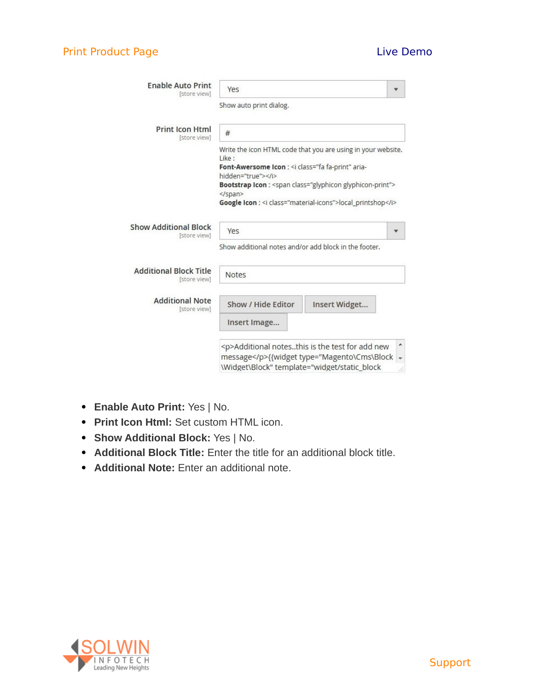| <b>Enable Auto Print</b><br>[store view]      | Yes                                                                                                                                                     |                                                                                                  |    |
|-----------------------------------------------|---------------------------------------------------------------------------------------------------------------------------------------------------------|--------------------------------------------------------------------------------------------------|----|
|                                               | Show auto print dialog.                                                                                                                                 |                                                                                                  |    |
| <b>Print Icon Html</b><br>[store view]        | #                                                                                                                                                       |                                                                                                  |    |
|                                               | Like:<br>Font-Awersome Icon : <i aria-<="" class="fa fa-print" td=""><td>Write the icon HTML code that you are using in your website.</td><td></td></i> | Write the icon HTML code that you are using in your website.                                     |    |
|                                               | hidden="true"><br>                                                                                                                                      | Bootstrap Icon : < span class="glyphicon glyphicon-print">                                       |    |
|                                               |                                                                                                                                                         | Google Icon : < i class="material-icons">local_printshop                                         |    |
| <b>Show Additional Block</b><br>[store view]  | Yes                                                                                                                                                     |                                                                                                  |    |
|                                               | Show additional notes and/or add block in the footer.                                                                                                   |                                                                                                  |    |
| <b>Additional Block Title</b><br>[store view] | Notes                                                                                                                                                   |                                                                                                  |    |
| <b>Additional Note</b><br>[store view]        | Show / Hide Editor                                                                                                                                      | Insert Widget                                                                                    |    |
|                                               | Insert Image                                                                                                                                            |                                                                                                  |    |
|                                               |                                                                                                                                                         | <p>Additional notesthis is the test for add new<br/>message</p> {{widget type="Magento\Cms\Block | ▲  |
|                                               | \Widget\Block" template="widget/static_block                                                                                                            |                                                                                                  | лĭ |

- **Enable Auto Print:** Yes | No.
- **Print Icon Html:** Set custom HTML icon.
- **Show Additional Block:** Yes | No.
- **Additional Block Title:** Enter the title for an additional block title.
- **Additional Note:** Enter an additional note.

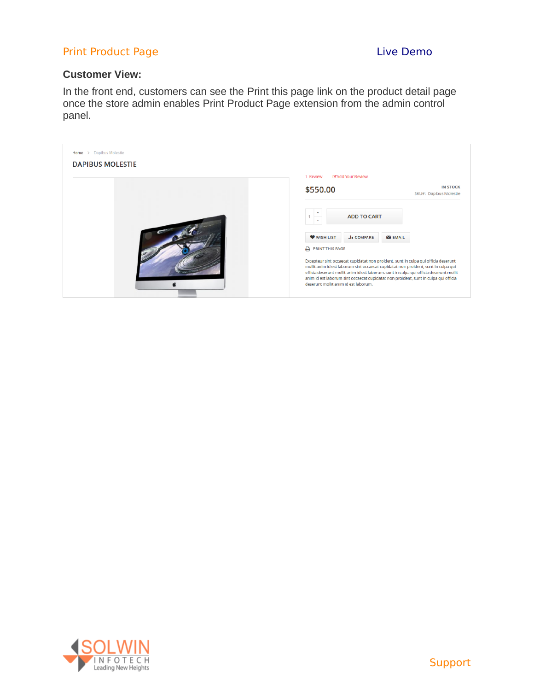#### **Customer View:**

In the front end, customers can see the Print this page link on the product detail page once the store admin enables Print Product Page extension from the admin control panel.



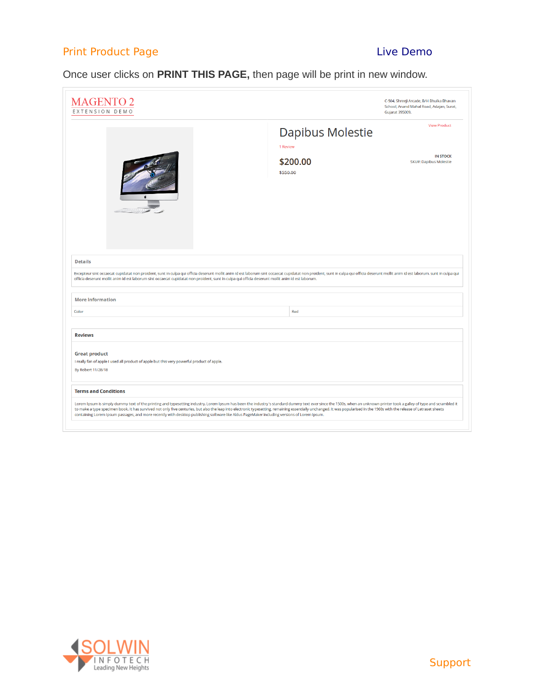### Once user clicks on **PRINT THIS PAGE,** then page will be print in new window.

| <b>MAGENTO 2</b><br>EXTENSION DEMO                                                                                                                                                                                                                                                                                                                                                                                                                                                                                                                                                                   |                              | C-504, Shreeji Arcade, B/H Bhulka Bhavan<br>School, Anand Mahal Road, Adajan, Surat,<br><b>Gujarat 395009.</b> |
|------------------------------------------------------------------------------------------------------------------------------------------------------------------------------------------------------------------------------------------------------------------------------------------------------------------------------------------------------------------------------------------------------------------------------------------------------------------------------------------------------------------------------------------------------------------------------------------------------|------------------------------|----------------------------------------------------------------------------------------------------------------|
|                                                                                                                                                                                                                                                                                                                                                                                                                                                                                                                                                                                                      | Dapibus Molestie<br>1 Review | <b>View Product</b>                                                                                            |
|                                                                                                                                                                                                                                                                                                                                                                                                                                                                                                                                                                                                      | \$200.00<br>\$550.00         | <b>IN STOCK</b><br>SKU#: Dapibus Molestie                                                                      |
| <b>Details</b><br>Excepteur sint occaecat cupidatat non proident, sunt in culpa qui officia deserunt mollit anim id est laborum sint occaecat cupidatat non proident, sunt in culpa qui officia deserunt mollit anim id est laborum. sunt in cul<br>officia deserunt mollit anim id est laborum sint occaecat cupidatat non proident, sunt in culpa qui officia deserunt mollit anim id est laborum.                                                                                                                                                                                                 |                              |                                                                                                                |
| <b>More Information</b>                                                                                                                                                                                                                                                                                                                                                                                                                                                                                                                                                                              |                              |                                                                                                                |
| Color                                                                                                                                                                                                                                                                                                                                                                                                                                                                                                                                                                                                | Red                          |                                                                                                                |
| <b>Reviews</b>                                                                                                                                                                                                                                                                                                                                                                                                                                                                                                                                                                                       |                              |                                                                                                                |
| <b>Great product</b><br>I really fan of apple I used all product of apple but this very powerful product of apple.<br>By Robert 11/28/18                                                                                                                                                                                                                                                                                                                                                                                                                                                             |                              |                                                                                                                |
| <b>Terms and Conditions</b>                                                                                                                                                                                                                                                                                                                                                                                                                                                                                                                                                                          |                              |                                                                                                                |
| Lorem Ipsum is simply dummy text of the printing and typesetting industry. Lorem Ipsum has been the industry's standard dummy text ever since the 1500s, when an unknown printer took a galley of type and scrambled it<br>to make a type specimen book. It has survived not only five centuries, but also the leap into electronic typesetting, remaining essentially unchanged. It was popularised in the 1960s with the release of Letraset sheets<br>containing Lorem Ipsum passages, and more recently with desktop publishing software like Aldus PageMaker including versions of Lorem Ipsum. |                              |                                                                                                                |